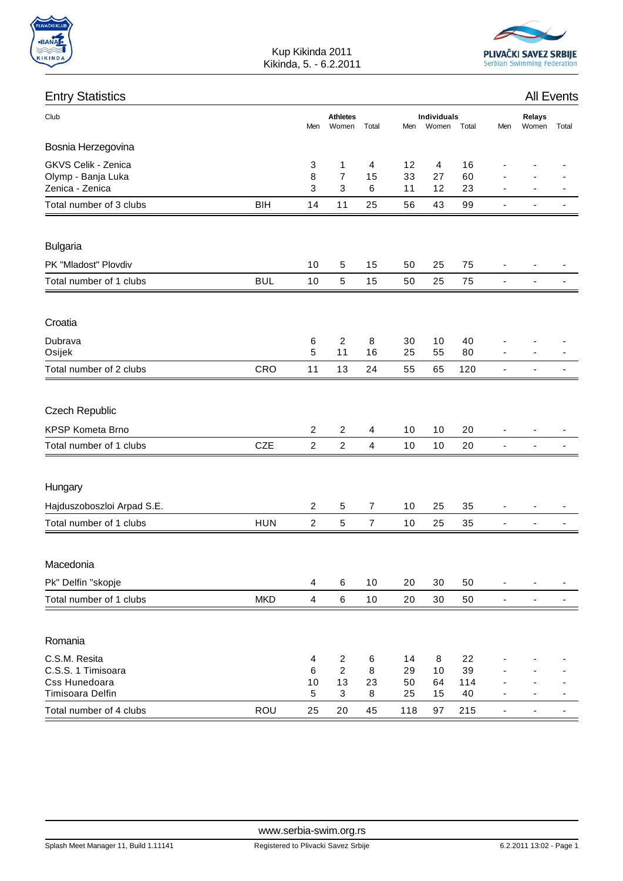





Kup Kikinda 2011 Kikinda, 5. - 6.2.2011

| <b>Entry Statistics</b>                                      |            |                |                                        |                         |                                             | <b>All Events</b>          |                 |                              |                          |  |
|--------------------------------------------------------------|------------|----------------|----------------------------------------|-------------------------|---------------------------------------------|----------------------------|-----------------|------------------------------|--------------------------|--|
| Club                                                         |            | Men            | <b>Athletes</b><br>Women               | Total                   | <b>Individuals</b><br>Women<br>Men<br>Total |                            | Men             | Relays<br>Women              | Total                    |  |
| Bosnia Herzegovina                                           |            |                |                                        |                         |                                             |                            |                 |                              |                          |  |
| GKVS Celik - Zenica<br>Olymp - Banja Luka<br>Zenica - Zenica |            | 3<br>8<br>3    | 1<br>$\overline{7}$<br>$\mathbf{3}$    | 4<br>15<br>6            | 12<br>33<br>11                              | $\overline{4}$<br>27<br>12 | 16<br>60<br>23  |                              |                          |  |
| Total number of 3 clubs                                      | <b>BIH</b> | 14             | 11                                     | 25                      | 56                                          | 43                         | 99              | $\blacksquare$               | ÷                        |  |
| <b>Bulgaria</b>                                              |            |                |                                        |                         |                                             |                            |                 |                              |                          |  |
| PK "Mladost" Plovdiv                                         |            | 10             | 5                                      | 15                      | 50                                          | 25                         | 75              | ä,                           |                          |  |
| Total number of 1 clubs                                      | <b>BUL</b> | 10             | 5                                      | 15                      | 50                                          | 25                         | 75              | $\overline{\phantom{a}}$     | $\overline{\phantom{a}}$ |  |
| Croatia                                                      |            |                |                                        |                         |                                             |                            |                 |                              |                          |  |
| Dubrava<br>Osijek                                            |            | 6<br>5         | $\overline{c}$<br>11                   | 8<br>16                 | 30<br>25                                    | 10<br>55                   | 40<br>80        |                              |                          |  |
| Total number of 2 clubs                                      | CRO        | 11             | 13                                     | 24                      | 55                                          | 65                         | 120             | $\overline{\phantom{a}}$     | $\overline{\phantom{a}}$ |  |
| <b>Czech Republic</b>                                        |            |                |                                        |                         |                                             |                            |                 |                              |                          |  |
| KPSP Kometa Brno                                             |            | $\overline{c}$ | $\overline{2}$                         | 4                       | 10                                          | 10                         | 20              |                              |                          |  |
| Total number of 1 clubs                                      | <b>CZE</b> | $\overline{2}$ | $\overline{2}$                         | $\overline{\mathbf{4}}$ | 10                                          | 10                         | 20              | $\overline{\phantom{a}}$     | $\overline{\phantom{a}}$ |  |
| Hungary                                                      |            |                |                                        |                         |                                             |                            |                 |                              |                          |  |
| Hajduszoboszloi Arpad S.E.                                   |            | $\overline{2}$ | 5                                      | $\overline{7}$          | 10                                          | 25                         | 35              |                              |                          |  |
| Total number of 1 clubs                                      | <b>HUN</b> | $\overline{c}$ | 5                                      | $\overline{7}$          | 10                                          | 25                         | 35              | $\qquad \qquad \blacksquare$ | ٠                        |  |
| Macedonia                                                    |            |                |                                        |                         |                                             |                            |                 |                              |                          |  |
| Pk" Delfin "skopje                                           |            | 4              | 6                                      | 10                      | 20                                          | 30                         | 50              | $\qquad \qquad \blacksquare$ | $\overline{\phantom{a}}$ |  |
| Total number of 1 clubs                                      | <b>MKD</b> | $\overline{4}$ | $\,6\,$                                | $10$                    | 20                                          | 30                         | 50              | $\overline{\phantom{a}}$     | ٠                        |  |
| Romania                                                      |            |                |                                        |                         |                                             |                            |                 |                              |                          |  |
| C.S.M. Resita<br>C.S.S. 1 Timisoara<br>Css Hunedoara         |            | 4<br>6<br>10   | $\overline{c}$<br>$\overline{c}$<br>13 | 6<br>8<br>23            | 14<br>29<br>50                              | 8<br>10<br>64              | 22<br>39<br>114 |                              |                          |  |
| Timisoara Delfin<br>Total number of 4 clubs                  | <b>ROU</b> | 5<br>25        | $\sqrt{3}$<br>20                       | 8<br>45                 | 25<br>118                                   | 15<br>97                   | 40<br>215       | $\blacksquare$               | $\overline{\phantom{a}}$ |  |
|                                                              |            |                |                                        |                         |                                             |                            |                 |                              |                          |  |